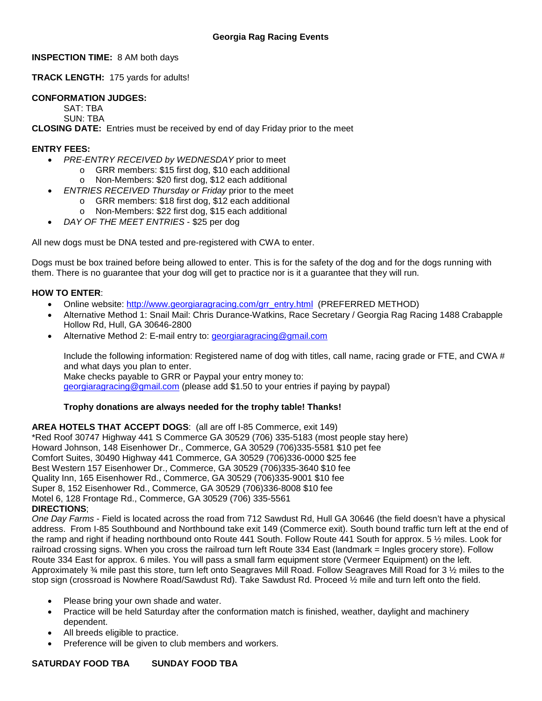## **INSPECTION TIME:** 8 AM both days

**TRACK LENGTH:** 175 yards for adults!

### **CONFORMATION JUDGES:**

SAT: TBA

SUN: TBA

**CLOSING DATE:** Entries must be received by end of day Friday prior to the meet

### **ENTRY FEES:**

- *PRE-ENTRY RECEIVED by WEDNESDAY* prior to meet
	- o GRR members: \$15 first dog, \$10 each additional
		- o Non-Members: \$20 first dog, \$12 each additional
- *ENTRIES RECEIVED Thursday or Friday* prior to the meet
	- o GRR members: \$18 first dog, \$12 each additional
		- o Non-Members: \$22 first dog, \$15 each additional
- *DAY OF THE MEET ENTRIES* \$25 per dog

All new dogs must be DNA tested and pre-registered with CWA to enter.

Dogs must be box trained before being allowed to enter. This is for the safety of the dog and for the dogs running with them. There is no guarantee that your dog will get to practice nor is it a guarantee that they will run.

## **HOW TO ENTER**:

- Online website: [http://www.georgiaragracing.com/grr\\_entry.html](http://www.georgiaragracing.com/grr_entry.html?fbclid=IwAR3ttGH5GmSxA0G4DakSIO_Dlyoh1fmrA71VkZLD2ExxoQ_kRYbIMEm5UmM) (PREFERRED METHOD)
- Alternative Method 1: Snail Mail: Chris Durance-Watkins, Race Secretary / Georgia Rag Racing 1488 Crabapple Hollow Rd, Hull, GA 30646-2800
- Alternative Method 2: E-mail entry to: [georgiaragracing@gmail.com](mailto:georgiaragracing@gmail.com)

Include the following information: Registered name of dog with titles, call name, racing grade or FTE, and CWA # and what days you plan to enter.

Make checks payable to GRR or Paypal your entry money to:

[georgiaragracing@gmail.com](mailto:georgiaragracing@gmail.com) (please add \$1.50 to your entries if paying by paypal)

## **Trophy donations are always needed for the trophy table! Thanks!**

**AREA HOTELS THAT ACCEPT DOGS**: (all are off I-85 Commerce, exit 149) \*Red Roof 30747 Highway 441 S Commerce GA 30529 (706) 335-5183 (most people stay here) Howard Johnson, 148 Eisenhower Dr., Commerce, GA 30529 (706)335-5581 \$10 pet fee Comfort Suites, 30490 Highway 441 Commerce, GA 30529 (706)336-0000 \$25 fee Best Western 157 Eisenhower Dr., Commerce, GA 30529 (706)335-3640 \$10 fee

Quality Inn, 165 Eisenhower Rd., Commerce, GA 30529 (706)335-9001 \$10 fee

Super 8, 152 Eisenhower Rd., Commerce, GA 30529 (706)336-8008 \$10 fee

Motel 6, 128 Frontage Rd., Commerce, GA 30529 (706) 335-5561

# **DIRECTIONS**;

*One Day Farms* - Field is located across the road from 712 Sawdust Rd, Hull GA 30646 (the field doesn't have a physical address. From I-85 Southbound and Northbound take exit 149 (Commerce exit). South bound traffic turn left at the end of the ramp and right if heading northbound onto Route 441 South. Follow Route 441 South for approx. 5 ½ miles. Look for railroad crossing signs. When you cross the railroad turn left Route 334 East (landmark = Ingles grocery store). Follow Route 334 East for approx. 6 miles. You will pass a small farm equipment store (Vermeer Equipment) on the left. Approximately ¾ mile past this store, turn left onto Seagraves Mill Road. Follow Seagraves Mill Road for 3 ½ miles to the stop sign (crossroad is Nowhere Road/Sawdust Rd). Take Sawdust Rd. Proceed ½ mile and turn left onto the field.

- Please bring your own shade and water.
- Practice will be held Saturday after the conformation match is finished, weather, daylight and machinery dependent.
- All breeds eligible to practice.
- Preference will be given to club members and workers.